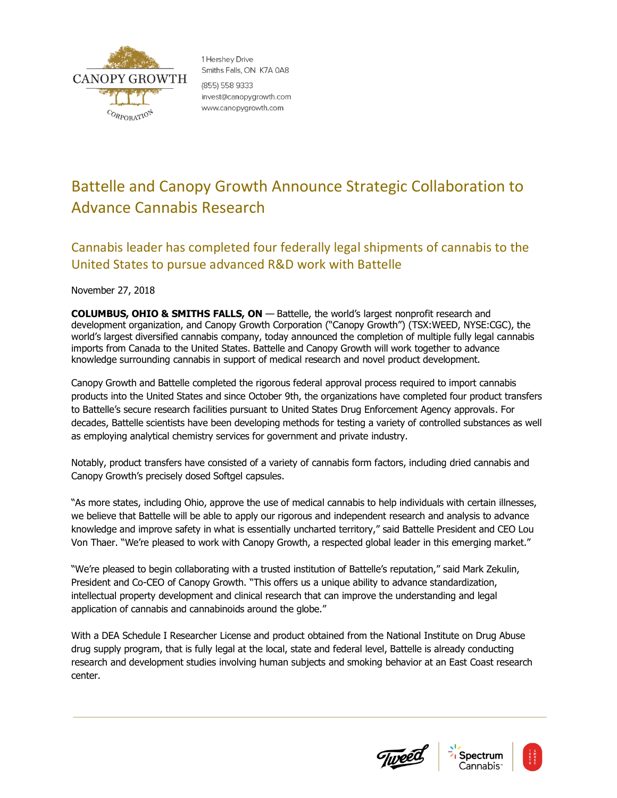

1 Hershev Drive Smiths Falls, ON K7A 0A8 (855) 558 9333 invest@canopygrowth.com www.canopygrowth.com

# Battelle and Canopy Growth Announce Strategic Collaboration to Advance Cannabis Research

## Cannabis leader has completed four federally legal shipments of cannabis to the United States to pursue advanced R&D work with Battelle

November 27, 2018

**COLUMBUS, OHIO & SMITHS FALLS, ON** — Battelle, the world's largest nonprofit research and development organization, and Canopy Growth Corporation ("Canopy Growth") (TSX:WEED, NYSE:CGC), the world's largest diversified cannabis company, today announced the completion of multiple fully legal cannabis imports from Canada to the United States. Battelle and Canopy Growth will work together to advance knowledge surrounding cannabis in support of medical research and novel product development.

Canopy Growth and Battelle completed the rigorous federal approval process required to import cannabis products into the United States and since October 9th, the organizations have completed four product transfers to Battelle's secure research facilities pursuant to United States Drug Enforcement Agency approvals. For decades, Battelle scientists have been developing methods for testing a variety of controlled substances as well as employing analytical chemistry services for government and private industry.

Notably, product transfers have consisted of a variety of cannabis form factors, including dried cannabis and Canopy Growth's precisely dosed Softgel capsules.

"As more states, including Ohio, approve the use of medical cannabis to help individuals with certain illnesses, we believe that Battelle will be able to apply our rigorous and independent research and analysis to advance knowledge and improve safety in what is essentially uncharted territory," said Battelle President and CEO Lou Von Thaer. "We're pleased to work with Canopy Growth, a respected global leader in this emerging market."

"We're pleased to begin collaborating with a trusted institution of Battelle's reputation," said Mark Zekulin, President and Co-CEO of Canopy Growth. "This offers us a unique ability to advance standardization, intellectual property development and clinical research that can improve the understanding and legal application of cannabis and cannabinoids around the globe."

With a DEA Schedule I Researcher License and product obtained from the National Institute on Drug Abuse drug supply program, that is fully legal at the local, state and federal level, Battelle is already conducting research and development studies involving human subjects and smoking behavior at an East Coast research center.





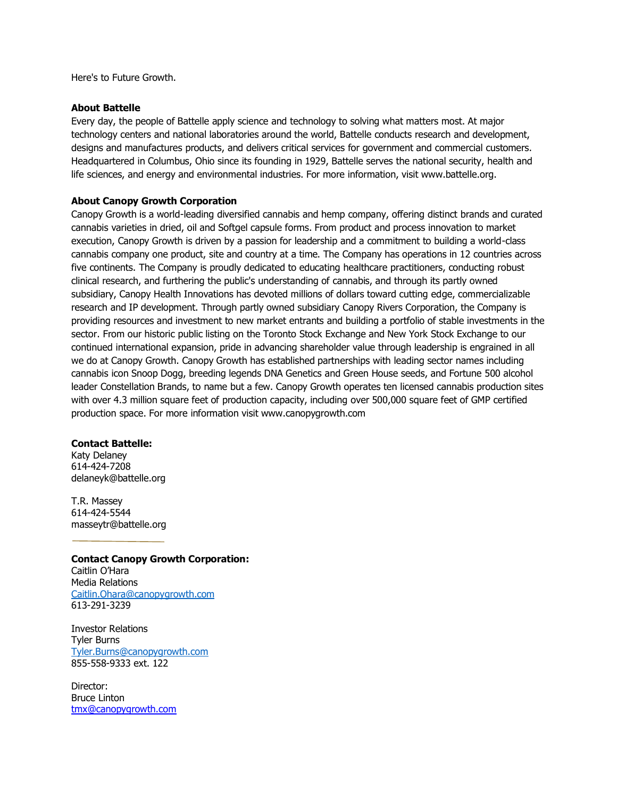Here's to Future Growth.

#### **About Battelle**

Every day, the people of Battelle apply science and technology to solving what matters most. At major technology centers and national laboratories around the world, Battelle conducts research and development, designs and manufactures products, and delivers critical services for government and commercial customers. Headquartered in Columbus, Ohio since its founding in 1929, Battelle serves the national security, health and life sciences, and energy and environmental industries. For more information, visit www.battelle.org.

### **About Canopy Growth Corporation**

Canopy Growth is a world-leading diversified cannabis and hemp company, offering distinct brands and curated cannabis varieties in dried, oil and Softgel capsule forms. From product and process innovation to market execution, Canopy Growth is driven by a passion for leadership and a commitment to building a world-class cannabis company one product, site and country at a time. The Company has operations in 12 countries across five continents. The Company is proudly dedicated to educating healthcare practitioners, conducting robust clinical research, and furthering the public's understanding of cannabis, and through its partly owned subsidiary, Canopy Health Innovations has devoted millions of dollars toward cutting edge, commercializable research and IP development. Through partly owned subsidiary Canopy Rivers Corporation, the Company is providing resources and investment to new market entrants and building a portfolio of stable investments in the sector. From our historic public listing on the Toronto Stock Exchange and New York Stock Exchange to our continued international expansion, pride in advancing shareholder value through leadership is engrained in all we do at Canopy Growth. Canopy Growth has established partnerships with leading sector names including cannabis icon Snoop Dogg, breeding legends DNA Genetics and Green House seeds, and Fortune 500 alcohol leader Constellation Brands, to name but a few. Canopy Growth operates ten licensed cannabis production sites with over 4.3 million square feet of production capacity, including over 500,000 square feet of GMP certified production space. For more information visit www.canopygrowth.com

#### **Contact Battelle:**

Katy Delaney 614-424-7208 delaneyk@battelle.org

T.R. Massey 614-424-5544 masseytr@battelle.org

### **Contact Canopy Growth Corporation:**

Caitlin O'Hara Media Relations [Caitlin.Ohara@canopygrowth.com](mailto:Caitlin.Ohara@canopygrowth.com) 613-291-3239

Investor Relations Tyler Burns [Tyler.Burns@canopygrowth.com](mailto:Tyler.Burns@canopygrowth.com) 855-558-9333 ext. 122

Director: Bruce Linton [tmx@canopygrowth.com](mailto:tmx@canopygrowth.com)